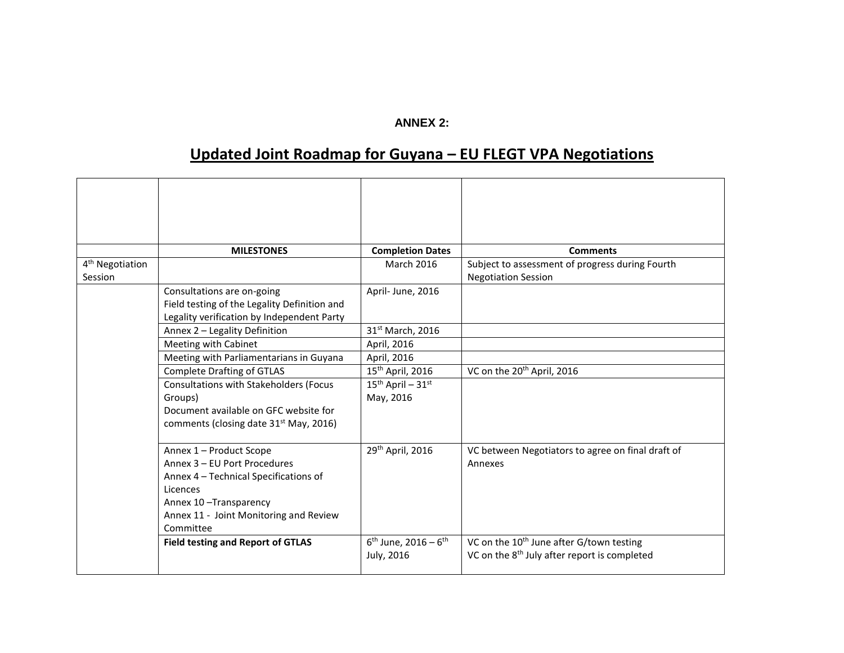## **ANNEX 2:**

## **Updated Joint Roadmap for Guyana – EU FLEGT VPA Negotiations**

|                             | <b>MILESTONES</b>                                               | <b>Completion Dates</b>                      | <b>Comments</b>                                          |
|-----------------------------|-----------------------------------------------------------------|----------------------------------------------|----------------------------------------------------------|
| 4 <sup>th</sup> Negotiation |                                                                 | <b>March 2016</b>                            | Subject to assessment of progress during Fourth          |
| Session                     |                                                                 |                                              | <b>Negotiation Session</b>                               |
|                             | Consultations are on-going                                      | April-June, 2016                             |                                                          |
|                             | Field testing of the Legality Definition and                    |                                              |                                                          |
|                             | Legality verification by Independent Party                      |                                              |                                                          |
|                             | Annex 2 - Legality Definition                                   | 31st March, 2016                             |                                                          |
|                             | Meeting with Cabinet                                            | April, 2016                                  |                                                          |
|                             | Meeting with Parliamentarians in Guyana                         | April, 2016                                  |                                                          |
|                             | <b>Complete Drafting of GTLAS</b>                               | 15 <sup>th</sup> April, 2016                 | VC on the 20 <sup>th</sup> April, 2016                   |
|                             | <b>Consultations with Stakeholders (Focus</b>                   | $15^{th}$ April - $31^{st}$                  |                                                          |
|                             | Groups)                                                         | May, 2016                                    |                                                          |
|                             | Document available on GFC website for                           |                                              |                                                          |
|                             | comments (closing date 31 <sup>st</sup> May, 2016)              |                                              |                                                          |
|                             |                                                                 |                                              |                                                          |
|                             | Annex 1 - Product Scope                                         | 29th April, 2016                             | VC between Negotiators to agree on final draft of        |
|                             | Annex 3 - EU Port Procedures                                    |                                              | Annexes                                                  |
|                             | Annex 4 - Technical Specifications of<br>Licences               |                                              |                                                          |
|                             |                                                                 |                                              |                                                          |
|                             | Annex 10-Transparency<br>Annex 11 - Joint Monitoring and Review |                                              |                                                          |
|                             | Committee                                                       |                                              |                                                          |
|                             | <b>Field testing and Report of GTLAS</b>                        | $6^{\text{th}}$ June, 2016 – $6^{\text{th}}$ | VC on the 10 <sup>th</sup> June after G/town testing     |
|                             |                                                                 | July, 2016                                   | VC on the 8 <sup>th</sup> July after report is completed |
|                             |                                                                 |                                              |                                                          |